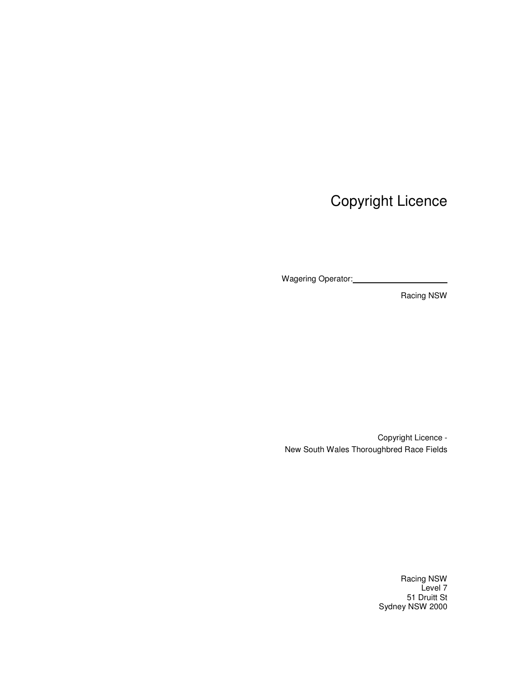Copyright Licence

Wagering Operator:

Racing NSW

Copyright Licence - New South Wales Thoroughbred Race Fields

> Racing NSW Level 7 51 Druitt St Sydney NSW 2000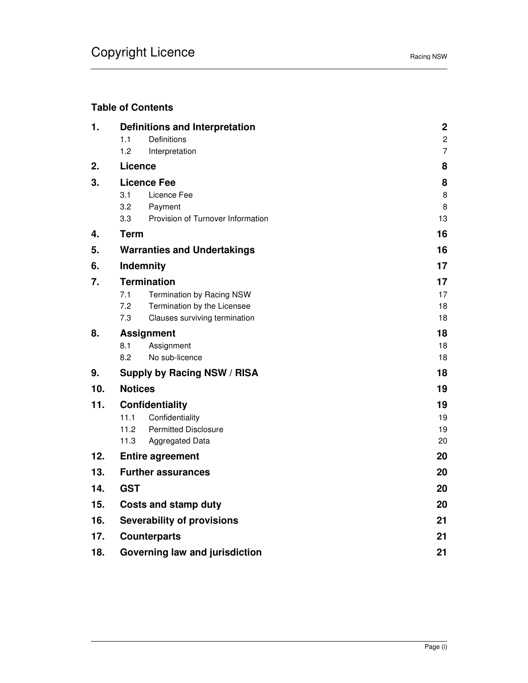# **Table of Contents**

| 1.  | <b>Definitions and Interpretation</b> |                                    | $\boldsymbol{2}$ |
|-----|---------------------------------------|------------------------------------|------------------|
|     | 1.1                                   | Definitions                        | $\overline{c}$   |
|     | 1.2                                   | Interpretation                     | $\overline{7}$   |
| 2.  | Licence                               |                                    |                  |
| 3.  | <b>Licence Fee</b>                    | 8                                  |                  |
|     | 3.1                                   | Licence Fee                        | 8                |
|     | 3.2                                   | Payment                            | 8                |
|     | 3.3                                   | Provision of Turnover Information  | 13               |
| 4.  | <b>Term</b>                           |                                    |                  |
| 5.  |                                       | <b>Warranties and Undertakings</b> | 16               |
| 6.  |                                       | Indemnity                          | 17               |
| 7.  |                                       | <b>Termination</b>                 | 17               |
|     | 7.1                                   | Termination by Racing NSW          | 17               |
|     | 7.2                                   | Termination by the Licensee        | 18               |
|     | 7.3                                   | Clauses surviving termination      | 18               |
| 8.  | <b>Assignment</b>                     |                                    | 18               |
|     | 8.1                                   | Assignment                         | 18               |
|     | 8.2                                   | No sub-licence                     | 18               |
| 9.  | <b>Supply by Racing NSW / RISA</b>    |                                    | 18               |
| 10. | <b>Notices</b>                        |                                    | 19               |
| 11. |                                       | Confidentiality                    | 19               |
|     | 11.1                                  | Confidentiality                    | 19               |
|     | 11.2                                  | <b>Permitted Disclosure</b>        | 19               |
|     | 11.3                                  | Aggregated Data                    | 20               |
| 12. |                                       | 20<br><b>Entire agreement</b>      |                  |
| 13. |                                       | <b>Further assurances</b>          | 20               |
| 14. | <b>GST</b>                            |                                    | 20               |
| 15. | <b>Costs and stamp duty</b>           | 20                                 |                  |
| 16. | <b>Severability of provisions</b>     | 21                                 |                  |
| 17. | <b>Counterparts</b>                   |                                    |                  |
| 18. | 21<br>Governing law and jurisdiction  |                                    |                  |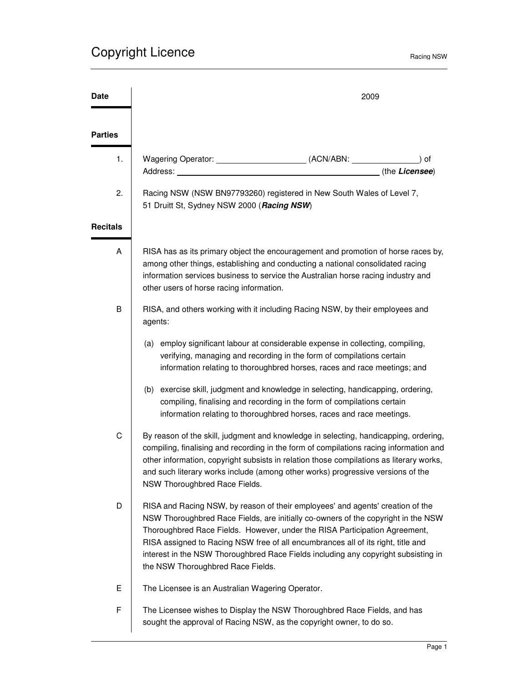| Date            | 2009                                                                                                                                                                                                                                                                                                                                                                                                                                                             |  |  |
|-----------------|------------------------------------------------------------------------------------------------------------------------------------------------------------------------------------------------------------------------------------------------------------------------------------------------------------------------------------------------------------------------------------------------------------------------------------------------------------------|--|--|
| <b>Parties</b>  |                                                                                                                                                                                                                                                                                                                                                                                                                                                                  |  |  |
| 1.              | ) of<br>(the Licensee)<br>Address:                                                                                                                                                                                                                                                                                                                                                                                                                               |  |  |
| 2.              | Racing NSW (NSW BN97793260) registered in New South Wales of Level 7,<br>51 Druitt St, Sydney NSW 2000 (Racing NSW)                                                                                                                                                                                                                                                                                                                                              |  |  |
| <b>Recitals</b> |                                                                                                                                                                                                                                                                                                                                                                                                                                                                  |  |  |
| A               | RISA has as its primary object the encouragement and promotion of horse races by,<br>among other things, establishing and conducting a national consolidated racing<br>information services business to service the Australian horse racing industry and<br>other users of horse racing information.                                                                                                                                                             |  |  |
| B               | RISA, and others working with it including Racing NSW, by their employees and<br>agents:                                                                                                                                                                                                                                                                                                                                                                         |  |  |
|                 | (a) employ significant labour at considerable expense in collecting, compiling,<br>verifying, managing and recording in the form of compilations certain<br>information relating to thoroughbred horses, races and race meetings; and                                                                                                                                                                                                                            |  |  |
|                 | (b) exercise skill, judgment and knowledge in selecting, handicapping, ordering,<br>compiling, finalising and recording in the form of compilations certain<br>information relating to thoroughbred horses, races and race meetings.                                                                                                                                                                                                                             |  |  |
| C               | By reason of the skill, judgment and knowledge in selecting, handicapping, ordering,<br>compiling, finalising and recording in the form of compilations racing information and<br>other information, copyright subsists in relation those compilations as literary works,<br>and such literary works include (among other works) progressive versions of the<br>NSW Thoroughbred Race Fields.                                                                    |  |  |
| D               | RISA and Racing NSW, by reason of their employees' and agents' creation of the<br>NSW Thoroughbred Race Fields, are initially co-owners of the copyright in the NSW<br>Thoroughbred Race Fields. However, under the RISA Participation Agreement,<br>RISA assigned to Racing NSW free of all encumbrances all of its right, title and<br>interest in the NSW Thoroughbred Race Fields including any copyright subsisting in<br>the NSW Thoroughbred Race Fields. |  |  |
| Ε               | The Licensee is an Australian Wagering Operator.                                                                                                                                                                                                                                                                                                                                                                                                                 |  |  |
| F               | The Licensee wishes to Display the NSW Thoroughbred Race Fields, and has<br>sought the approval of Racing NSW, as the copyright owner, to do so.                                                                                                                                                                                                                                                                                                                 |  |  |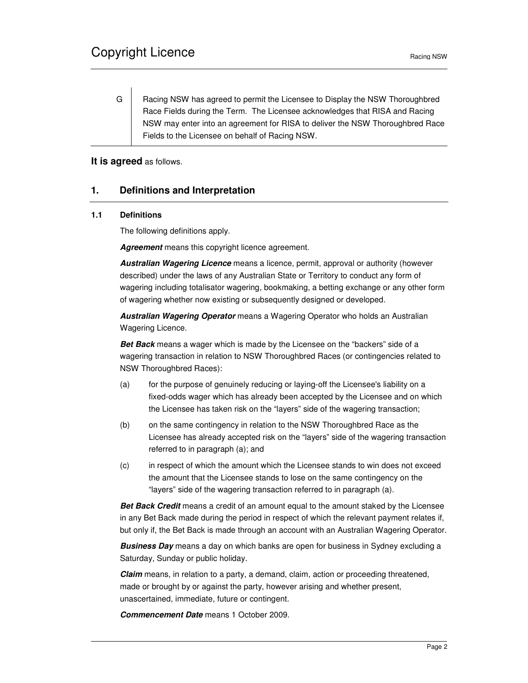G | Racing NSW has agreed to permit the Licensee to Display the NSW Thoroughbred Race Fields during the Term. The Licensee acknowledges that RISA and Racing NSW may enter into an agreement for RISA to deliver the NSW Thoroughbred Race Fields to the Licensee on behalf of Racing NSW.

**It is agreed** as follows.

# **1. Definitions and Interpretation**

### **1.1 Definitions**

The following definitions apply.

**Agreement** means this copyright licence agreement.

**Australian Wagering Licence** means a licence, permit, approval or authority (however described) under the laws of any Australian State or Territory to conduct any form of wagering including totalisator wagering, bookmaking, a betting exchange or any other form of wagering whether now existing or subsequently designed or developed.

**Australian Wagering Operator** means a Wagering Operator who holds an Australian Wagering Licence.

**Bet Back** means a wager which is made by the Licensee on the "backers" side of a wagering transaction in relation to NSW Thoroughbred Races (or contingencies related to NSW Thoroughbred Races):

- (a) for the purpose of genuinely reducing or laying-off the Licensee's liability on a fixed-odds wager which has already been accepted by the Licensee and on which the Licensee has taken risk on the "layers" side of the wagering transaction;
- (b) on the same contingency in relation to the NSW Thoroughbred Race as the Licensee has already accepted risk on the "layers" side of the wagering transaction referred to in paragraph (a); and
- (c) in respect of which the amount which the Licensee stands to win does not exceed the amount that the Licensee stands to lose on the same contingency on the "layers" side of the wagering transaction referred to in paragraph (a).

**Bet Back Credit** means a credit of an amount equal to the amount staked by the Licensee in any Bet Back made during the period in respect of which the relevant payment relates if, but only if, the Bet Back is made through an account with an Australian Wagering Operator.

**Business Day** means a day on which banks are open for business in Sydney excluding a Saturday, Sunday or public holiday.

**Claim** means, in relation to a party, a demand, claim, action or proceeding threatened, made or brought by or against the party, however arising and whether present, unascertained, immediate, future or contingent.

**Commencement Date** means 1 October 2009.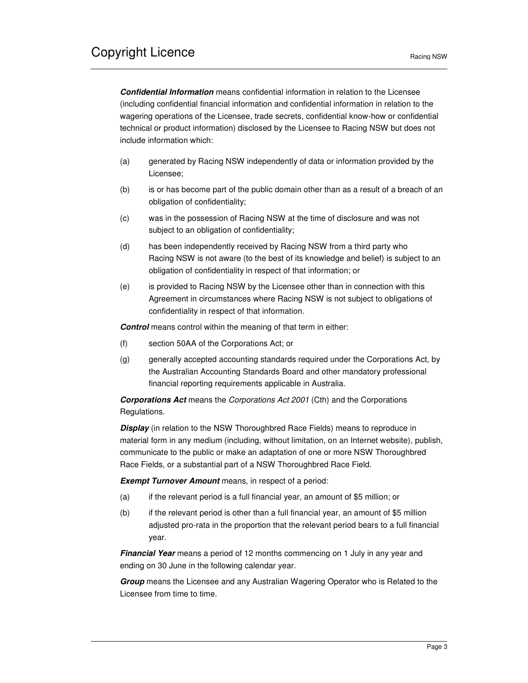**Confidential Information** means confidential information in relation to the Licensee (including confidential financial information and confidential information in relation to the wagering operations of the Licensee, trade secrets, confidential know-how or confidential technical or product information) disclosed by the Licensee to Racing NSW but does not include information which:

- (a) generated by Racing NSW independently of data or information provided by the Licensee;
- (b) is or has become part of the public domain other than as a result of a breach of an obligation of confidentiality;
- (c) was in the possession of Racing NSW at the time of disclosure and was not subject to an obligation of confidentiality;
- (d) has been independently received by Racing NSW from a third party who Racing NSW is not aware (to the best of its knowledge and belief) is subject to an obligation of confidentiality in respect of that information; or
- (e) is provided to Racing NSW by the Licensee other than in connection with this Agreement in circumstances where Racing NSW is not subject to obligations of confidentiality in respect of that information.

**Control** means control within the meaning of that term in either:

- (f) section 50AA of the Corporations Act; or
- (g) generally accepted accounting standards required under the Corporations Act, by the Australian Accounting Standards Board and other mandatory professional financial reporting requirements applicable in Australia.

**Corporations Act** means the Corporations Act 2001 (Cth) and the Corporations Regulations.

**Display** (in relation to the NSW Thoroughbred Race Fields) means to reproduce in material form in any medium (including, without limitation, on an Internet website), publish, communicate to the public or make an adaptation of one or more NSW Thoroughbred Race Fields, or a substantial part of a NSW Thoroughbred Race Field.

**Exempt Turnover Amount** means, in respect of a period:

- (a) if the relevant period is a full financial year, an amount of \$5 million; or
- (b) if the relevant period is other than a full financial year, an amount of \$5 million adjusted pro-rata in the proportion that the relevant period bears to a full financial year.

**Financial Year** means a period of 12 months commencing on 1 July in any year and ending on 30 June in the following calendar year.

**Group** means the Licensee and any Australian Wagering Operator who is Related to the Licensee from time to time.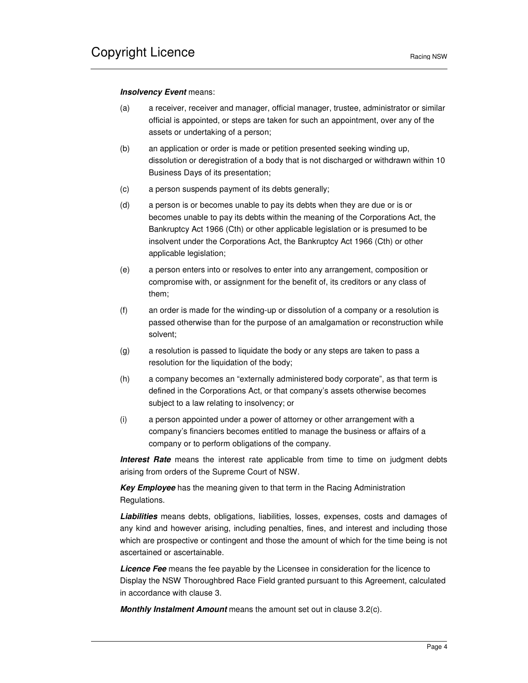#### **Insolvency Event means:**

- (a) a receiver, receiver and manager, official manager, trustee, administrator or similar official is appointed, or steps are taken for such an appointment, over any of the assets or undertaking of a person;
- (b) an application or order is made or petition presented seeking winding up, dissolution or deregistration of a body that is not discharged or withdrawn within 10 Business Days of its presentation;
- (c) a person suspends payment of its debts generally;
- (d) a person is or becomes unable to pay its debts when they are due or is or becomes unable to pay its debts within the meaning of the Corporations Act, the Bankruptcy Act 1966 (Cth) or other applicable legislation or is presumed to be insolvent under the Corporations Act, the Bankruptcy Act 1966 (Cth) or other applicable legislation;
- (e) a person enters into or resolves to enter into any arrangement, composition or compromise with, or assignment for the benefit of, its creditors or any class of them;
- (f) an order is made for the winding-up or dissolution of a company or a resolution is passed otherwise than for the purpose of an amalgamation or reconstruction while solvent;
- (g) a resolution is passed to liquidate the body or any steps are taken to pass a resolution for the liquidation of the body;
- (h) a company becomes an "externally administered body corporate", as that term is defined in the Corporations Act, or that company's assets otherwise becomes subject to a law relating to insolvency; or
- (i) a person appointed under a power of attorney or other arrangement with a company's financiers becomes entitled to manage the business or affairs of a company or to perform obligations of the company.

**Interest Rate** means the interest rate applicable from time to time on judgment debts arising from orders of the Supreme Court of NSW.

**Key Employee** has the meaning given to that term in the Racing Administration Regulations.

**Liabilities** means debts, obligations, liabilities, losses, expenses, costs and damages of any kind and however arising, including penalties, fines, and interest and including those which are prospective or contingent and those the amount of which for the time being is not ascertained or ascertainable.

**Licence Fee** means the fee payable by the Licensee in consideration for the licence to Display the NSW Thoroughbred Race Field granted pursuant to this Agreement, calculated in accordance with clause 3.

**Monthly Instalment Amount** means the amount set out in clause 3.2(c).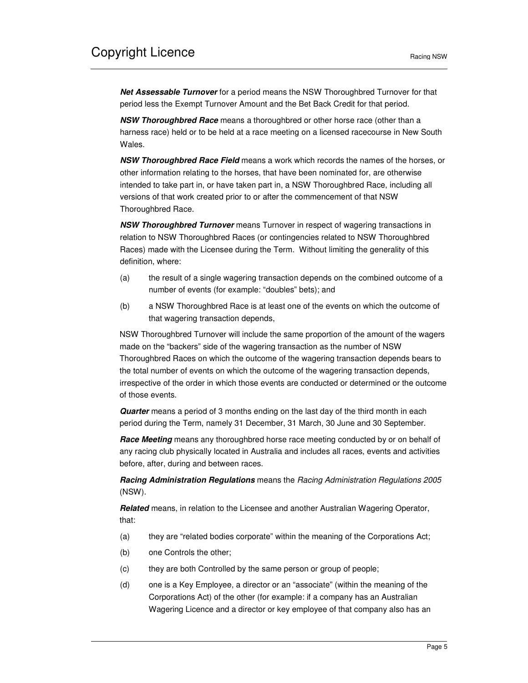**Net Assessable Turnover** for a period means the NSW Thoroughbred Turnover for that period less the Exempt Turnover Amount and the Bet Back Credit for that period.

**NSW Thoroughbred Race** means a thoroughbred or other horse race (other than a harness race) held or to be held at a race meeting on a licensed racecourse in New South Wales.

**NSW Thoroughbred Race Field** means a work which records the names of the horses, or other information relating to the horses, that have been nominated for, are otherwise intended to take part in, or have taken part in, a NSW Thoroughbred Race, including all versions of that work created prior to or after the commencement of that NSW Thoroughbred Race.

**NSW Thoroughbred Turnover** means Turnover in respect of wagering transactions in relation to NSW Thoroughbred Races (or contingencies related to NSW Thoroughbred Races) made with the Licensee during the Term. Without limiting the generality of this definition, where:

- (a) the result of a single wagering transaction depends on the combined outcome of a number of events (for example: "doubles" bets); and
- (b) a NSW Thoroughbred Race is at least one of the events on which the outcome of that wagering transaction depends,

NSW Thoroughbred Turnover will include the same proportion of the amount of the wagers made on the "backers" side of the wagering transaction as the number of NSW Thoroughbred Races on which the outcome of the wagering transaction depends bears to the total number of events on which the outcome of the wagering transaction depends, irrespective of the order in which those events are conducted or determined or the outcome of those events.

**Quarter** means a period of 3 months ending on the last day of the third month in each period during the Term, namely 31 December, 31 March, 30 June and 30 September.

**Race Meeting** means any thoroughbred horse race meeting conducted by or on behalf of any racing club physically located in Australia and includes all races, events and activities before, after, during and between races.

**Racing Administration Regulations** means the Racing Administration Regulations 2005 (NSW).

**Related** means, in relation to the Licensee and another Australian Wagering Operator, that:

- (a) they are "related bodies corporate" within the meaning of the Corporations Act;
- (b) one Controls the other;
- (c) they are both Controlled by the same person or group of people;
- (d) one is a Key Employee, a director or an "associate" (within the meaning of the Corporations Act) of the other (for example: if a company has an Australian Wagering Licence and a director or key employee of that company also has an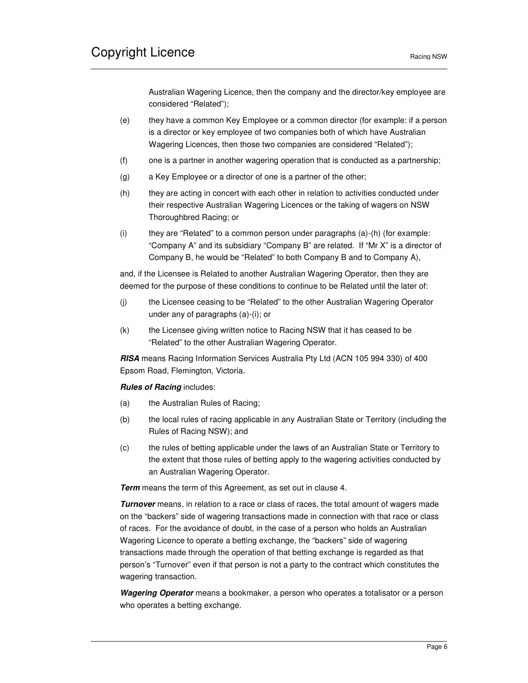Australian Wagering Licence, then the company and the director/key employee are considered "Related");

- (e) they have a common Key Employee or a common director (for example: if a person is a director or key employee of two companies both of which have Australian Wagering Licences, then those two companies are considered "Related");
- (f) one is a partner in another wagering operation that is conducted as a partnership;
- (g) a Key Employee or a director of one is a partner of the other;
- (h) they are acting in concert with each other in relation to activities conducted under their respective Australian Wagering Licences or the taking of wagers on NSW Thoroughbred Racing; or
- (i) they are "Related" to a common person under paragraphs  $(a)$ - $(h)$  (for example: "Company A" and its subsidiary "Company B" are related. If "Mr X" is a director of Company B, he would be "Related" to both Company B and to Company A),

and, if the Licensee is Related to another Australian Wagering Operator, then they are deemed for the purpose of these conditions to continue to be Related until the later of:

- (j) the Licensee ceasing to be "Related" to the other Australian Wagering Operator under any of paragraphs (a)-(i); or
- (k) the Licensee giving written notice to Racing NSW that it has ceased to be "Related" to the other Australian Wagering Operator.

**RISA** means Racing Information Services Australia Pty Ltd (ACN 105 994 330) of 400 Epsom Road, Flemington, Victoria.

#### **Rules of Racing** includes:

- (a) the Australian Rules of Racing;
- (b) the local rules of racing applicable in any Australian State or Territory (including the Rules of Racing NSW); and
- (c) the rules of betting applicable under the laws of an Australian State or Territory to the extent that those rules of betting apply to the wagering activities conducted by an Australian Wagering Operator.

**Term** means the term of this Agreement, as set out in clause 4.

**Turnover** means, in relation to a race or class of races, the total amount of wagers made on the "backers" side of wagering transactions made in connection with that race or class of races. For the avoidance of doubt, in the case of a person who holds an Australian Wagering Licence to operate a betting exchange, the "backers" side of wagering transactions made through the operation of that betting exchange is regarded as that person's "Turnover" even if that person is not a party to the contract which constitutes the wagering transaction.

**Wagering Operator** means a bookmaker, a person who operates a totalisator or a person who operates a betting exchange.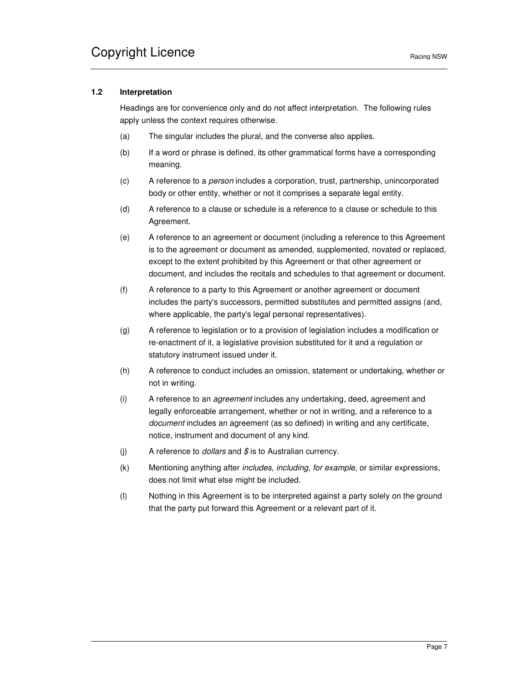### **1.2 Interpretation**

Headings are for convenience only and do not affect interpretation. The following rules apply unless the context requires otherwise.

- (a) The singular includes the plural, and the converse also applies.
- (b) If a word or phrase is defined, its other grammatical forms have a corresponding meaning.
- (c) A reference to a person includes a corporation, trust, partnership, unincorporated body or other entity, whether or not it comprises a separate legal entity.
- (d) A reference to a clause or schedule is a reference to a clause or schedule to this Agreement.
- (e) A reference to an agreement or document (including a reference to this Agreement is to the agreement or document as amended, supplemented, novated or replaced, except to the extent prohibited by this Agreement or that other agreement or document, and includes the recitals and schedules to that agreement or document.
- (f) A reference to a party to this Agreement or another agreement or document includes the party's successors, permitted substitutes and permitted assigns (and, where applicable, the party's legal personal representatives).
- (g) A reference to legislation or to a provision of legislation includes a modification or re-enactment of it, a legislative provision substituted for it and a regulation or statutory instrument issued under it.
- (h) A reference to conduct includes an omission, statement or undertaking, whether or not in writing.
- (i) A reference to an agreement includes any undertaking, deed, agreement and legally enforceable arrangement, whether or not in writing, and a reference to a document includes an agreement (as so defined) in writing and any certificate, notice, instrument and document of any kind.
- (j) A reference to *dollars* and  $\oint$  is to Australian currency.
- (k) Mentioning anything after includes, including, for example, or similar expressions, does not limit what else might be included.
- (l) Nothing in this Agreement is to be interpreted against a party solely on the ground that the party put forward this Agreement or a relevant part of it.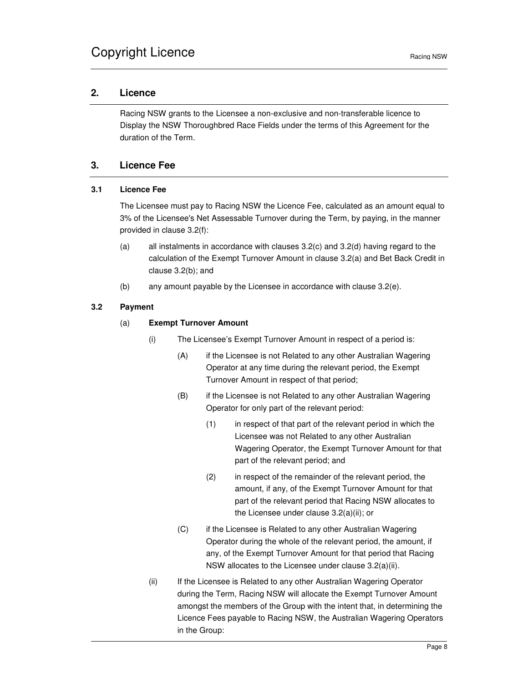## **2. Licence**

Racing NSW grants to the Licensee a non-exclusive and non-transferable licence to Display the NSW Thoroughbred Race Fields under the terms of this Agreement for the duration of the Term.

## **3. Licence Fee**

# **3.1 Licence Fee**

The Licensee must pay to Racing NSW the Licence Fee, calculated as an amount equal to 3% of the Licensee's Net Assessable Turnover during the Term, by paying, in the manner provided in clause 3.2(f):

- (a) all instalments in accordance with clauses 3.2(c) and 3.2(d) having regard to the calculation of the Exempt Turnover Amount in clause 3.2(a) and Bet Back Credit in clause 3.2(b); and
- (b) any amount payable by the Licensee in accordance with clause 3.2(e).

### **3.2 Payment**

#### (a) **Exempt Turnover Amount**

- (i) The Licensee's Exempt Turnover Amount in respect of a period is:
	- (A) if the Licensee is not Related to any other Australian Wagering Operator at any time during the relevant period, the Exempt Turnover Amount in respect of that period;
	- (B) if the Licensee is not Related to any other Australian Wagering Operator for only part of the relevant period:
		- (1) in respect of that part of the relevant period in which the Licensee was not Related to any other Australian Wagering Operator, the Exempt Turnover Amount for that part of the relevant period; and
		- (2) in respect of the remainder of the relevant period, the amount, if any, of the Exempt Turnover Amount for that part of the relevant period that Racing NSW allocates to the Licensee under clause 3.2(a)(ii); or
	- (C) if the Licensee is Related to any other Australian Wagering Operator during the whole of the relevant period, the amount, if any, of the Exempt Turnover Amount for that period that Racing NSW allocates to the Licensee under clause 3.2(a)(ii).
- (ii) If the Licensee is Related to any other Australian Wagering Operator during the Term, Racing NSW will allocate the Exempt Turnover Amount amongst the members of the Group with the intent that, in determining the Licence Fees payable to Racing NSW, the Australian Wagering Operators in the Group: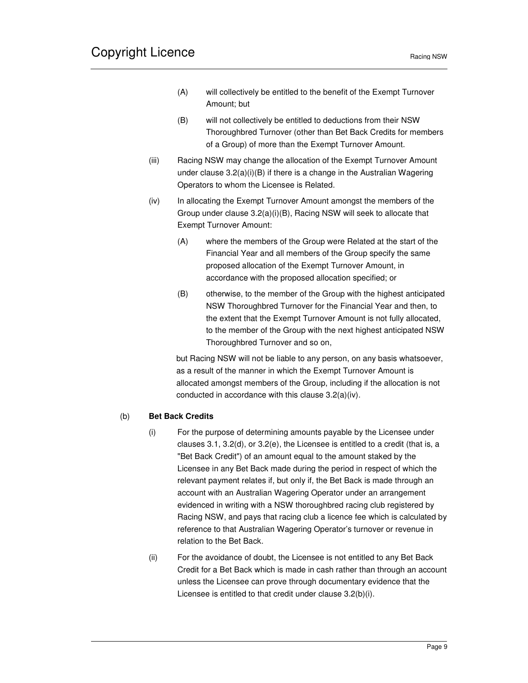- (A) will collectively be entitled to the benefit of the Exempt Turnover Amount; but
- (B) will not collectively be entitled to deductions from their NSW Thoroughbred Turnover (other than Bet Back Credits for members of a Group) of more than the Exempt Turnover Amount.
- (iii) Racing NSW may change the allocation of the Exempt Turnover Amount under clause 3.2(a)(i)(B) if there is a change in the Australian Wagering Operators to whom the Licensee is Related.
- (iv) In allocating the Exempt Turnover Amount amongst the members of the Group under clause 3.2(a)(i)(B), Racing NSW will seek to allocate that Exempt Turnover Amount:
	- (A) where the members of the Group were Related at the start of the Financial Year and all members of the Group specify the same proposed allocation of the Exempt Turnover Amount, in accordance with the proposed allocation specified; or
	- (B) otherwise, to the member of the Group with the highest anticipated NSW Thoroughbred Turnover for the Financial Year and then, to the extent that the Exempt Turnover Amount is not fully allocated, to the member of the Group with the next highest anticipated NSW Thoroughbred Turnover and so on,

but Racing NSW will not be liable to any person, on any basis whatsoever, as a result of the manner in which the Exempt Turnover Amount is allocated amongst members of the Group, including if the allocation is not conducted in accordance with this clause 3.2(a)(iv).

### (b) **Bet Back Credits**

- (i) For the purpose of determining amounts payable by the Licensee under clauses 3.1, 3.2(d), or 3.2(e), the Licensee is entitled to a credit (that is, a "Bet Back Credit") of an amount equal to the amount staked by the Licensee in any Bet Back made during the period in respect of which the relevant payment relates if, but only if, the Bet Back is made through an account with an Australian Wagering Operator under an arrangement evidenced in writing with a NSW thoroughbred racing club registered by Racing NSW, and pays that racing club a licence fee which is calculated by reference to that Australian Wagering Operator's turnover or revenue in relation to the Bet Back.
- (ii) For the avoidance of doubt, the Licensee is not entitled to any Bet Back Credit for a Bet Back which is made in cash rather than through an account unless the Licensee can prove through documentary evidence that the Licensee is entitled to that credit under clause 3.2(b)(i).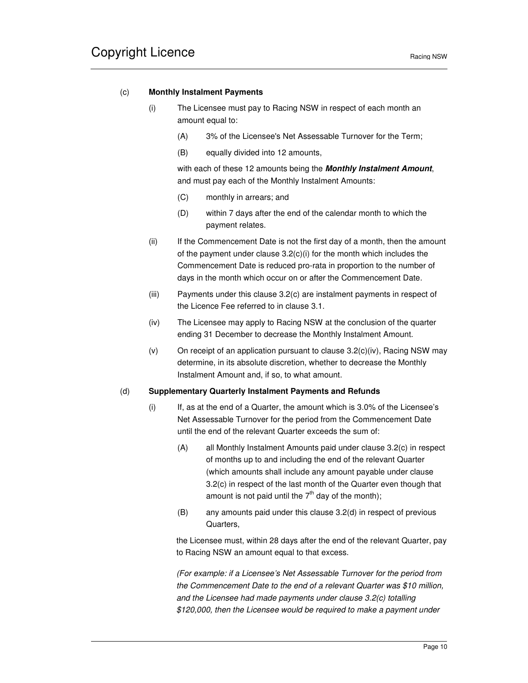### (c) **Monthly Instalment Payments**

- (i) The Licensee must pay to Racing NSW in respect of each month an amount equal to:
	- (A) 3% of the Licensee's Net Assessable Turnover for the Term;
	- (B) equally divided into 12 amounts,

with each of these 12 amounts being the **Monthly Instalment Amount**, and must pay each of the Monthly Instalment Amounts:

- (C) monthly in arrears; and
- (D) within 7 days after the end of the calendar month to which the payment relates.
- (ii) If the Commencement Date is not the first day of a month, then the amount of the payment under clause 3.2(c)(i) for the month which includes the Commencement Date is reduced pro-rata in proportion to the number of days in the month which occur on or after the Commencement Date.
- (iii) Payments under this clause 3.2(c) are instalment payments in respect of the Licence Fee referred to in clause 3.1.
- (iv) The Licensee may apply to Racing NSW at the conclusion of the quarter ending 31 December to decrease the Monthly Instalment Amount.
- (v) On receipt of an application pursuant to clause 3.2(c)(iv), Racing NSW may determine, in its absolute discretion, whether to decrease the Monthly Instalment Amount and, if so, to what amount.

#### (d) **Supplementary Quarterly Instalment Payments and Refunds**

- (i) If, as at the end of a Quarter, the amount which is 3.0% of the Licensee's Net Assessable Turnover for the period from the Commencement Date until the end of the relevant Quarter exceeds the sum of:
	- (A) all Monthly Instalment Amounts paid under clause 3.2(c) in respect of months up to and including the end of the relevant Quarter (which amounts shall include any amount payable under clause 3.2(c) in respect of the last month of the Quarter even though that amount is not paid until the  $7<sup>th</sup>$  day of the month);
	- (B) any amounts paid under this clause 3.2(d) in respect of previous Quarters,

the Licensee must, within 28 days after the end of the relevant Quarter, pay to Racing NSW an amount equal to that excess.

(For example: if a Licensee's Net Assessable Turnover for the period from the Commencement Date to the end of a relevant Quarter was \$10 million, and the Licensee had made payments under clause 3.2(c) totalling \$120,000, then the Licensee would be required to make a payment under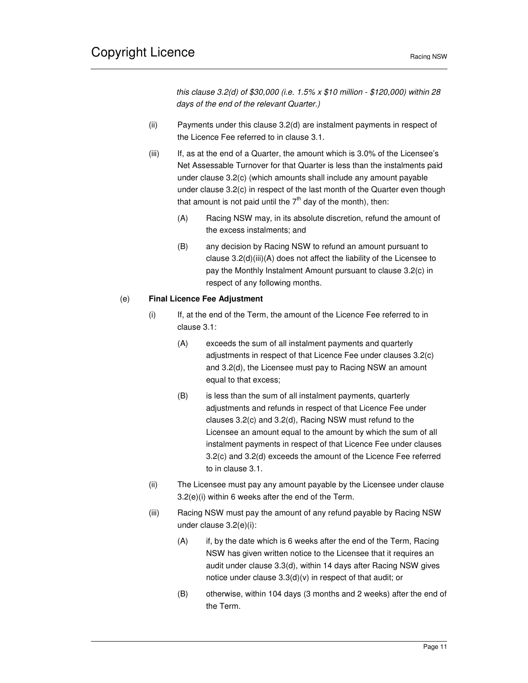this clause 3.2(d) of \$30,000 (i.e. 1.5% x \$10 million - \$120,000) within 28 days of the end of the relevant Quarter.)

- (ii) Payments under this clause 3.2(d) are instalment payments in respect of the Licence Fee referred to in clause 3.1.
- (iii) If, as at the end of a Quarter, the amount which is 3.0% of the Licensee's Net Assessable Turnover for that Quarter is less than the instalments paid under clause 3.2(c) (which amounts shall include any amount payable under clause 3.2(c) in respect of the last month of the Quarter even though that amount is not paid until the  $7<sup>th</sup>$  day of the month), then:
	- (A) Racing NSW may, in its absolute discretion, refund the amount of the excess instalments; and
	- (B) any decision by Racing NSW to refund an amount pursuant to clause 3.2(d)(iii)(A) does not affect the liability of the Licensee to pay the Monthly Instalment Amount pursuant to clause 3.2(c) in respect of any following months.

## (e) **Final Licence Fee Adjustment**

- (i) If, at the end of the Term, the amount of the Licence Fee referred to in clause 3.1:
	- (A) exceeds the sum of all instalment payments and quarterly adjustments in respect of that Licence Fee under clauses 3.2(c) and 3.2(d), the Licensee must pay to Racing NSW an amount equal to that excess;
	- (B) is less than the sum of all instalment payments, quarterly adjustments and refunds in respect of that Licence Fee under clauses 3.2(c) and 3.2(d), Racing NSW must refund to the Licensee an amount equal to the amount by which the sum of all instalment payments in respect of that Licence Fee under clauses 3.2(c) and 3.2(d) exceeds the amount of the Licence Fee referred to in clause 3.1.
- (ii) The Licensee must pay any amount payable by the Licensee under clause 3.2(e)(i) within 6 weeks after the end of the Term.
- (iii) Racing NSW must pay the amount of any refund payable by Racing NSW under clause 3.2(e)(i):
	- (A) if, by the date which is 6 weeks after the end of the Term, Racing NSW has given written notice to the Licensee that it requires an audit under clause 3.3(d), within 14 days after Racing NSW gives notice under clause 3.3(d)(v) in respect of that audit; or
	- (B) otherwise, within 104 days (3 months and 2 weeks) after the end of the Term.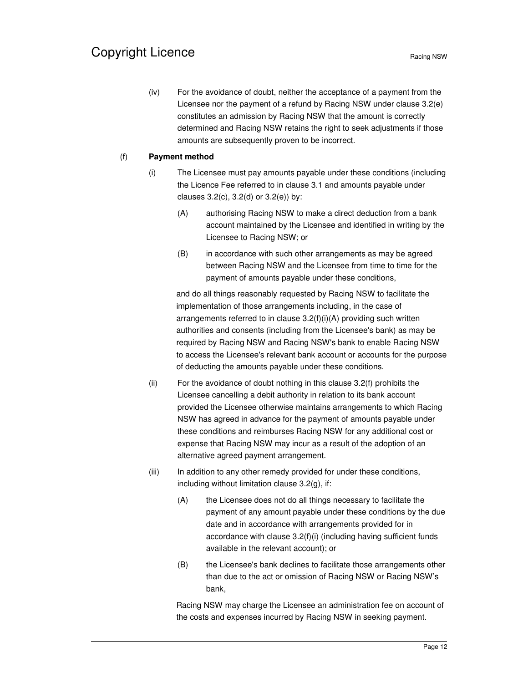(iv) For the avoidance of doubt, neither the acceptance of a payment from the Licensee nor the payment of a refund by Racing NSW under clause 3.2(e) constitutes an admission by Racing NSW that the amount is correctly determined and Racing NSW retains the right to seek adjustments if those amounts are subsequently proven to be incorrect.

## (f) **Payment method**

- (i) The Licensee must pay amounts payable under these conditions (including the Licence Fee referred to in clause 3.1 and amounts payable under clauses  $3.2(c)$ ,  $3.2(d)$  or  $3.2(e)$ ) by:
	- (A) authorising Racing NSW to make a direct deduction from a bank account maintained by the Licensee and identified in writing by the Licensee to Racing NSW; or
	- (B) in accordance with such other arrangements as may be agreed between Racing NSW and the Licensee from time to time for the payment of amounts payable under these conditions,

and do all things reasonably requested by Racing NSW to facilitate the implementation of those arrangements including, in the case of arrangements referred to in clause 3.2(f)(i)(A) providing such written authorities and consents (including from the Licensee's bank) as may be required by Racing NSW and Racing NSW's bank to enable Racing NSW to access the Licensee's relevant bank account or accounts for the purpose of deducting the amounts payable under these conditions.

- (ii) For the avoidance of doubt nothing in this clause 3.2(f) prohibits the Licensee cancelling a debit authority in relation to its bank account provided the Licensee otherwise maintains arrangements to which Racing NSW has agreed in advance for the payment of amounts payable under these conditions and reimburses Racing NSW for any additional cost or expense that Racing NSW may incur as a result of the adoption of an alternative agreed payment arrangement.
- (iii) In addition to any other remedy provided for under these conditions, including without limitation clause 3.2(g), if:
	- (A) the Licensee does not do all things necessary to facilitate the payment of any amount payable under these conditions by the due date and in accordance with arrangements provided for in accordance with clause 3.2(f)(i) (including having sufficient funds available in the relevant account); or
	- (B) the Licensee's bank declines to facilitate those arrangements other than due to the act or omission of Racing NSW or Racing NSW's bank,

Racing NSW may charge the Licensee an administration fee on account of the costs and expenses incurred by Racing NSW in seeking payment.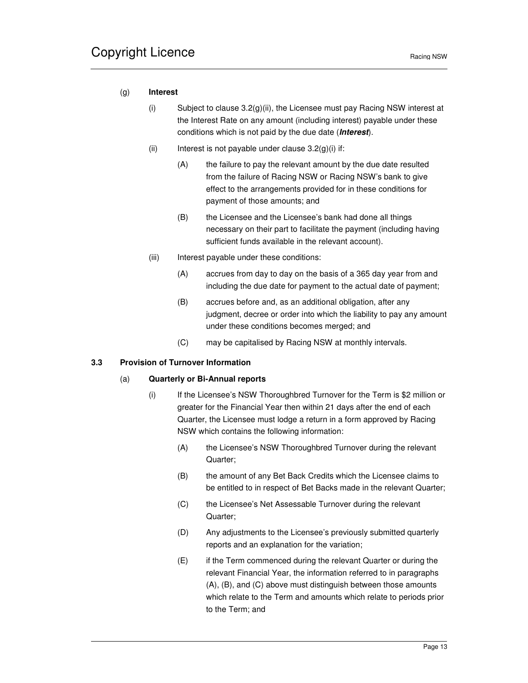### (g) **Interest**

- (i) Subject to clause 3.2(g)(ii), the Licensee must pay Racing NSW interest at the Interest Rate on any amount (including interest) payable under these conditions which is not paid by the due date (**Interest**).
- (ii) Interest is not payable under clause  $3.2(g)(i)$  if:
	- (A) the failure to pay the relevant amount by the due date resulted from the failure of Racing NSW or Racing NSW's bank to give effect to the arrangements provided for in these conditions for payment of those amounts; and
	- (B) the Licensee and the Licensee's bank had done all things necessary on their part to facilitate the payment (including having sufficient funds available in the relevant account).
- (iii) Interest payable under these conditions:
	- (A) accrues from day to day on the basis of a 365 day year from and including the due date for payment to the actual date of payment;
	- (B) accrues before and, as an additional obligation, after any judgment, decree or order into which the liability to pay any amount under these conditions becomes merged; and
	- (C) may be capitalised by Racing NSW at monthly intervals.

#### **3.3 Provision of Turnover Information**

### (a) **Quarterly or Bi-Annual reports**

- (i) If the Licensee's NSW Thoroughbred Turnover for the Term is \$2 million or greater for the Financial Year then within 21 days after the end of each Quarter, the Licensee must lodge a return in a form approved by Racing NSW which contains the following information:
	- (A) the Licensee's NSW Thoroughbred Turnover during the relevant Quarter;
	- (B) the amount of any Bet Back Credits which the Licensee claims to be entitled to in respect of Bet Backs made in the relevant Quarter;
	- (C) the Licensee's Net Assessable Turnover during the relevant Quarter;
	- (D) Any adjustments to the Licensee's previously submitted quarterly reports and an explanation for the variation;
	- (E) if the Term commenced during the relevant Quarter or during the relevant Financial Year, the information referred to in paragraphs (A), (B), and (C) above must distinguish between those amounts which relate to the Term and amounts which relate to periods prior to the Term; and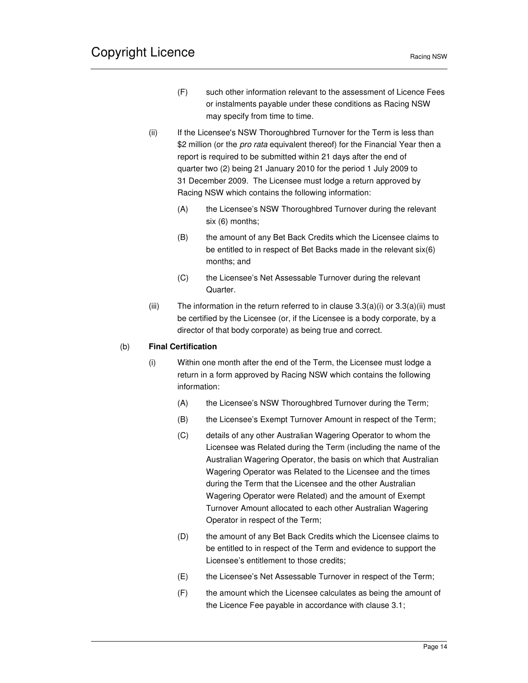- (F) such other information relevant to the assessment of Licence Fees or instalments payable under these conditions as Racing NSW may specify from time to time.
- (ii) If the Licensee's NSW Thoroughbred Turnover for the Term is less than \$2 million (or the *pro rata* equivalent thereof) for the Financial Year then a report is required to be submitted within 21 days after the end of quarter two (2) being 21 January 2010 for the period 1 July 2009 to 31 December 2009. The Licensee must lodge a return approved by Racing NSW which contains the following information:
	- (A) the Licensee's NSW Thoroughbred Turnover during the relevant six (6) months;
	- (B) the amount of any Bet Back Credits which the Licensee claims to be entitled to in respect of Bet Backs made in the relevant six(6) months; and
	- (C) the Licensee's Net Assessable Turnover during the relevant Quarter.
- (iii) The information in the return referred to in clause  $3.3(a)(i)$  or  $3.3(a)(ii)$  must be certified by the Licensee (or, if the Licensee is a body corporate, by a director of that body corporate) as being true and correct.

### (b) **Final Certification**

- (i) Within one month after the end of the Term, the Licensee must lodge a return in a form approved by Racing NSW which contains the following information:
	- (A) the Licensee's NSW Thoroughbred Turnover during the Term;
	- (B) the Licensee's Exempt Turnover Amount in respect of the Term;
	- (C) details of any other Australian Wagering Operator to whom the Licensee was Related during the Term (including the name of the Australian Wagering Operator, the basis on which that Australian Wagering Operator was Related to the Licensee and the times during the Term that the Licensee and the other Australian Wagering Operator were Related) and the amount of Exempt Turnover Amount allocated to each other Australian Wagering Operator in respect of the Term;
	- (D) the amount of any Bet Back Credits which the Licensee claims to be entitled to in respect of the Term and evidence to support the Licensee's entitlement to those credits;
	- (E) the Licensee's Net Assessable Turnover in respect of the Term;
	- (F) the amount which the Licensee calculates as being the amount of the Licence Fee payable in accordance with clause 3.1;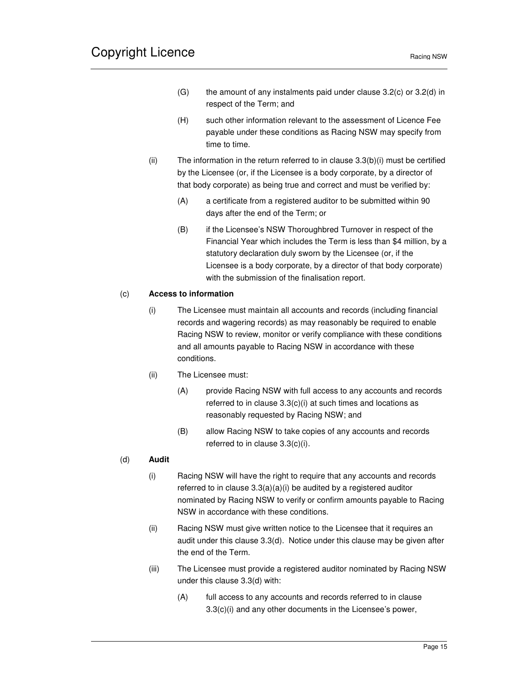- $(G)$  the amount of any instalments paid under clause 3.2(c) or 3.2(d) in respect of the Term; and
- (H) such other information relevant to the assessment of Licence Fee payable under these conditions as Racing NSW may specify from time to time.
- (ii) The information in the return referred to in clause  $3.3(b)(i)$  must be certified by the Licensee (or, if the Licensee is a body corporate, by a director of that body corporate) as being true and correct and must be verified by:
	- (A) a certificate from a registered auditor to be submitted within 90 days after the end of the Term; or
	- (B) if the Licensee's NSW Thoroughbred Turnover in respect of the Financial Year which includes the Term is less than \$4 million, by a statutory declaration duly sworn by the Licensee (or, if the Licensee is a body corporate, by a director of that body corporate) with the submission of the finalisation report.

### (c) **Access to information**

- (i) The Licensee must maintain all accounts and records (including financial records and wagering records) as may reasonably be required to enable Racing NSW to review, monitor or verify compliance with these conditions and all amounts payable to Racing NSW in accordance with these conditions.
- (ii) The Licensee must:
	- (A) provide Racing NSW with full access to any accounts and records referred to in clause 3.3(c)(i) at such times and locations as reasonably requested by Racing NSW; and
	- (B) allow Racing NSW to take copies of any accounts and records referred to in clause 3.3(c)(i).

### (d) **Audit**

- (i) Racing NSW will have the right to require that any accounts and records referred to in clause 3.3(a)(a)(i) be audited by a registered auditor nominated by Racing NSW to verify or confirm amounts payable to Racing NSW in accordance with these conditions.
- (ii) Racing NSW must give written notice to the Licensee that it requires an audit under this clause 3.3(d). Notice under this clause may be given after the end of the Term.
- (iii) The Licensee must provide a registered auditor nominated by Racing NSW under this clause 3.3(d) with:
	- (A) full access to any accounts and records referred to in clause 3.3(c)(i) and any other documents in the Licensee's power,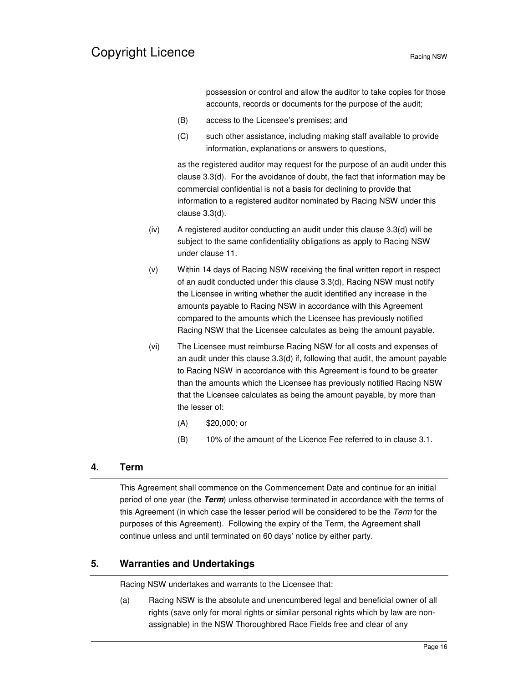possession or control and allow the auditor to take copies for those accounts, records or documents for the purpose of the audit;

- (B) access to the Licensee's premises; and
- (C) such other assistance, including making staff available to provide information, explanations or answers to questions,

as the registered auditor may request for the purpose of an audit under this clause 3.3(d). For the avoidance of doubt, the fact that information may be commercial confidential is not a basis for declining to provide that information to a registered auditor nominated by Racing NSW under this clause 3.3(d).

- (iv) A registered auditor conducting an audit under this clause 3.3(d) will be subject to the same confidentiality obligations as apply to Racing NSW under clause 11.
- (v) Within 14 days of Racing NSW receiving the final written report in respect of an audit conducted under this clause 3.3(d), Racing NSW must notify the Licensee in writing whether the audit identified any increase in the amounts payable to Racing NSW in accordance with this Agreement compared to the amounts which the Licensee has previously notified Racing NSW that the Licensee calculates as being the amount payable.
- (vi) The Licensee must reimburse Racing NSW for all costs and expenses of an audit under this clause 3.3(d) if, following that audit, the amount payable to Racing NSW in accordance with this Agreement is found to be greater than the amounts which the Licensee has previously notified Racing NSW that the Licensee calculates as being the amount payable, by more than the lesser of:
	- (A) \$20,000; or
	- (B) 10% of the amount of the Licence Fee referred to in clause 3.1.

# **4. Term**

This Agreement shall commence on the Commencement Date and continue for an initial period of one year (the **Term**) unless otherwise terminated in accordance with the terms of this Agreement (in which case the lesser period will be considered to be the Term for the purposes of this Agreement). Following the expiry of the Term, the Agreement shall continue unless and until terminated on 60 days' notice by either party.

# **5. Warranties and Undertakings**

Racing NSW undertakes and warrants to the Licensee that:

(a) Racing NSW is the absolute and unencumbered legal and beneficial owner of all rights (save only for moral rights or similar personal rights which by law are nonassignable) in the NSW Thoroughbred Race Fields free and clear of any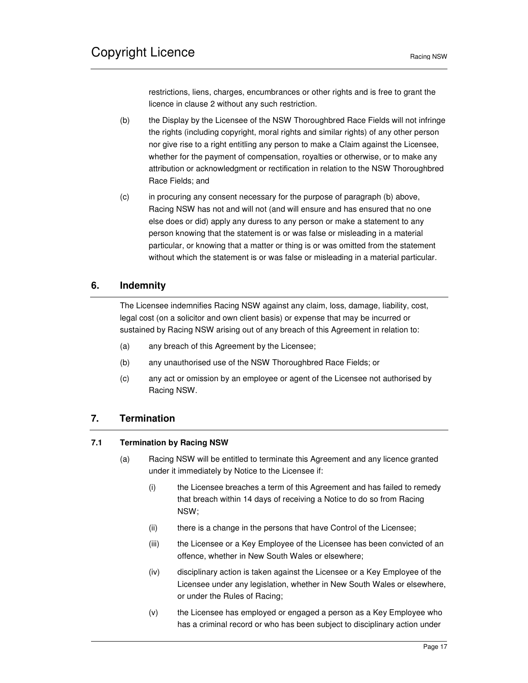restrictions, liens, charges, encumbrances or other rights and is free to grant the licence in clause 2 without any such restriction.

- (b) the Display by the Licensee of the NSW Thoroughbred Race Fields will not infringe the rights (including copyright, moral rights and similar rights) of any other person nor give rise to a right entitling any person to make a Claim against the Licensee, whether for the payment of compensation, royalties or otherwise, or to make any attribution or acknowledgment or rectification in relation to the NSW Thoroughbred Race Fields; and
- (c) in procuring any consent necessary for the purpose of paragraph (b) above, Racing NSW has not and will not (and will ensure and has ensured that no one else does or did) apply any duress to any person or make a statement to any person knowing that the statement is or was false or misleading in a material particular, or knowing that a matter or thing is or was omitted from the statement without which the statement is or was false or misleading in a material particular.

# **6. Indemnity**

The Licensee indemnifies Racing NSW against any claim, loss, damage, liability, cost, legal cost (on a solicitor and own client basis) or expense that may be incurred or sustained by Racing NSW arising out of any breach of this Agreement in relation to:

- (a) any breach of this Agreement by the Licensee;
- (b) any unauthorised use of the NSW Thoroughbred Race Fields; or
- (c) any act or omission by an employee or agent of the Licensee not authorised by Racing NSW.

# **7. Termination**

### **7.1 Termination by Racing NSW**

- (a) Racing NSW will be entitled to terminate this Agreement and any licence granted under it immediately by Notice to the Licensee if:
	- (i) the Licensee breaches a term of this Agreement and has failed to remedy that breach within 14 days of receiving a Notice to do so from Racing NSW;
	- (ii) there is a change in the persons that have Control of the Licensee;
	- (iii) the Licensee or a Key Employee of the Licensee has been convicted of an offence, whether in New South Wales or elsewhere;
	- (iv) disciplinary action is taken against the Licensee or a Key Employee of the Licensee under any legislation, whether in New South Wales or elsewhere, or under the Rules of Racing;
	- (v) the Licensee has employed or engaged a person as a Key Employee who has a criminal record or who has been subject to disciplinary action under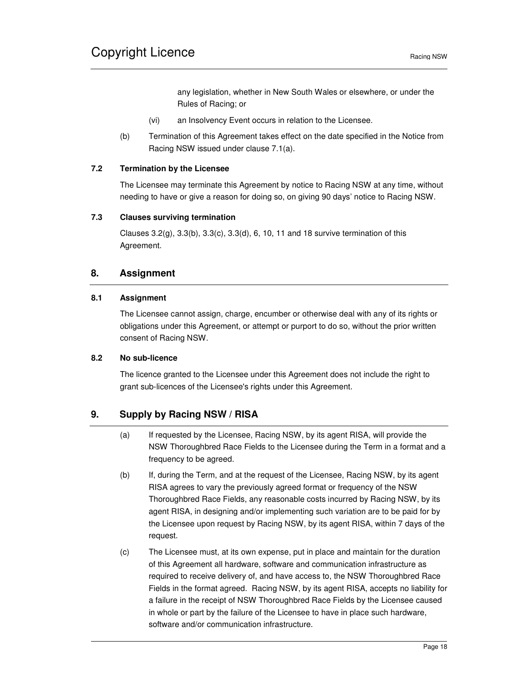any legislation, whether in New South Wales or elsewhere, or under the Rules of Racing; or

- (vi) an Insolvency Event occurs in relation to the Licensee.
- (b) Termination of this Agreement takes effect on the date specified in the Notice from Racing NSW issued under clause 7.1(a).

### **7.2 Termination by the Licensee**

The Licensee may terminate this Agreement by notice to Racing NSW at any time, without needing to have or give a reason for doing so, on giving 90 days' notice to Racing NSW.

#### **7.3 Clauses surviving termination**

Clauses 3.2(g), 3.3(b), 3.3(c), 3.3(d), 6, 10, 11 and 18 survive termination of this Agreement.

## **8. Assignment**

### **8.1 Assignment**

The Licensee cannot assign, charge, encumber or otherwise deal with any of its rights or obligations under this Agreement, or attempt or purport to do so, without the prior written consent of Racing NSW.

### **8.2 No sub-licence**

The licence granted to the Licensee under this Agreement does not include the right to grant sub-licences of the Licensee's rights under this Agreement.

# **9. Supply by Racing NSW / RISA**

- (a) If requested by the Licensee, Racing NSW, by its agent RISA, will provide the NSW Thoroughbred Race Fields to the Licensee during the Term in a format and a frequency to be agreed.
- (b) If, during the Term, and at the request of the Licensee, Racing NSW, by its agent RISA agrees to vary the previously agreed format or frequency of the NSW Thoroughbred Race Fields, any reasonable costs incurred by Racing NSW, by its agent RISA, in designing and/or implementing such variation are to be paid for by the Licensee upon request by Racing NSW, by its agent RISA, within 7 days of the request.
- (c) The Licensee must, at its own expense, put in place and maintain for the duration of this Agreement all hardware, software and communication infrastructure as required to receive delivery of, and have access to, the NSW Thoroughbred Race Fields in the format agreed. Racing NSW, by its agent RISA, accepts no liability for a failure in the receipt of NSW Thoroughbred Race Fields by the Licensee caused in whole or part by the failure of the Licensee to have in place such hardware, software and/or communication infrastructure.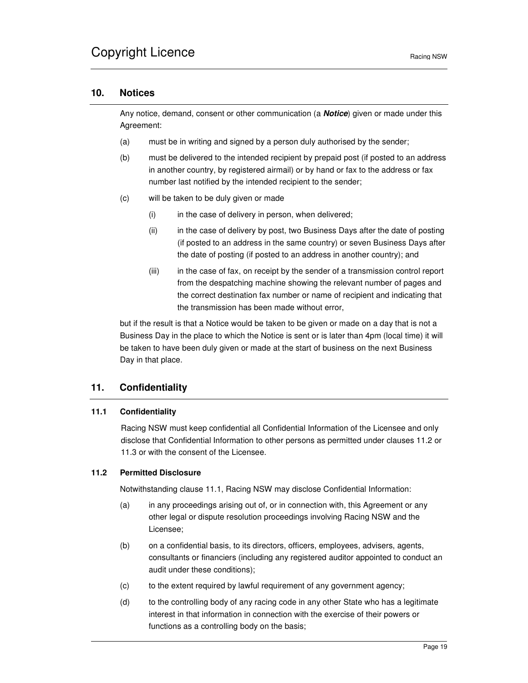## **10. Notices**

Any notice, demand, consent or other communication (a **Notice**) given or made under this Agreement:

- (a) must be in writing and signed by a person duly authorised by the sender;
- (b) must be delivered to the intended recipient by prepaid post (if posted to an address in another country, by registered airmail) or by hand or fax to the address or fax number last notified by the intended recipient to the sender;
- (c) will be taken to be duly given or made
	- (i) in the case of delivery in person, when delivered;
	- (ii) in the case of delivery by post, two Business Days after the date of posting (if posted to an address in the same country) or seven Business Days after the date of posting (if posted to an address in another country); and
	- (iii) in the case of fax, on receipt by the sender of a transmission control report from the despatching machine showing the relevant number of pages and the correct destination fax number or name of recipient and indicating that the transmission has been made without error,

but if the result is that a Notice would be taken to be given or made on a day that is not a Business Day in the place to which the Notice is sent or is later than 4pm (local time) it will be taken to have been duly given or made at the start of business on the next Business Day in that place.

# **11. Confidentiality**

### **11.1 Confidentiality**

Racing NSW must keep confidential all Confidential Information of the Licensee and only disclose that Confidential Information to other persons as permitted under clauses 11.2 or 11.3 or with the consent of the Licensee.

#### **11.2 Permitted Disclosure**

Notwithstanding clause 11.1, Racing NSW may disclose Confidential Information:

- (a) in any proceedings arising out of, or in connection with, this Agreement or any other legal or dispute resolution proceedings involving Racing NSW and the Licensee;
- (b) on a confidential basis, to its directors, officers, employees, advisers, agents, consultants or financiers (including any registered auditor appointed to conduct an audit under these conditions);
- (c) to the extent required by lawful requirement of any government agency;
- (d) to the controlling body of any racing code in any other State who has a legitimate interest in that information in connection with the exercise of their powers or functions as a controlling body on the basis;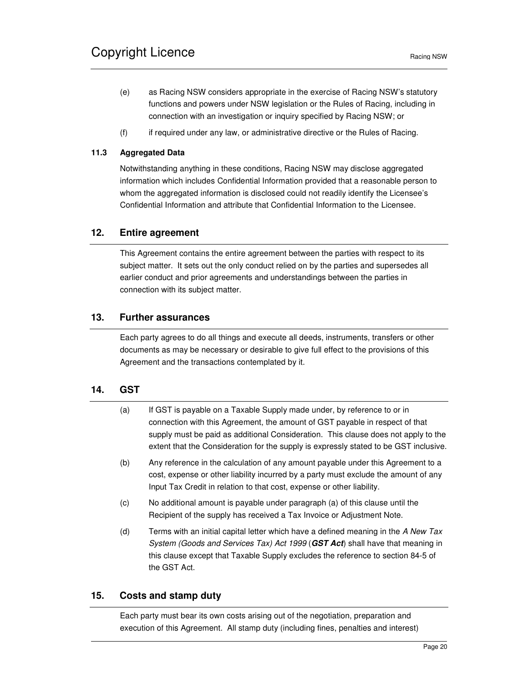- (e) as Racing NSW considers appropriate in the exercise of Racing NSW's statutory functions and powers under NSW legislation or the Rules of Racing, including in connection with an investigation or inquiry specified by Racing NSW; or
- (f) if required under any law, or administrative directive or the Rules of Racing.

## **11.3 Aggregated Data**

Notwithstanding anything in these conditions, Racing NSW may disclose aggregated information which includes Confidential Information provided that a reasonable person to whom the aggregated information is disclosed could not readily identify the Licensee's Confidential Information and attribute that Confidential Information to the Licensee.

# **12. Entire agreement**

This Agreement contains the entire agreement between the parties with respect to its subject matter. It sets out the only conduct relied on by the parties and supersedes all earlier conduct and prior agreements and understandings between the parties in connection with its subject matter.

# **13. Further assurances**

Each party agrees to do all things and execute all deeds, instruments, transfers or other documents as may be necessary or desirable to give full effect to the provisions of this Agreement and the transactions contemplated by it.

# **14. GST**

- (a) If GST is payable on a Taxable Supply made under, by reference to or in connection with this Agreement, the amount of GST payable in respect of that supply must be paid as additional Consideration. This clause does not apply to the extent that the Consideration for the supply is expressly stated to be GST inclusive.
- (b) Any reference in the calculation of any amount payable under this Agreement to a cost, expense or other liability incurred by a party must exclude the amount of any Input Tax Credit in relation to that cost, expense or other liability.
- (c) No additional amount is payable under paragraph (a) of this clause until the Recipient of the supply has received a Tax Invoice or Adjustment Note.
- (d) Terms with an initial capital letter which have a defined meaning in the  $A$  New Tax System (Goods and Services Tax) Act 1999 (**GST Act**) shall have that meaning in this clause except that Taxable Supply excludes the reference to section 84-5 of the GST Act.

# **15. Costs and stamp duty**

Each party must bear its own costs arising out of the negotiation, preparation and execution of this Agreement. All stamp duty (including fines, penalties and interest)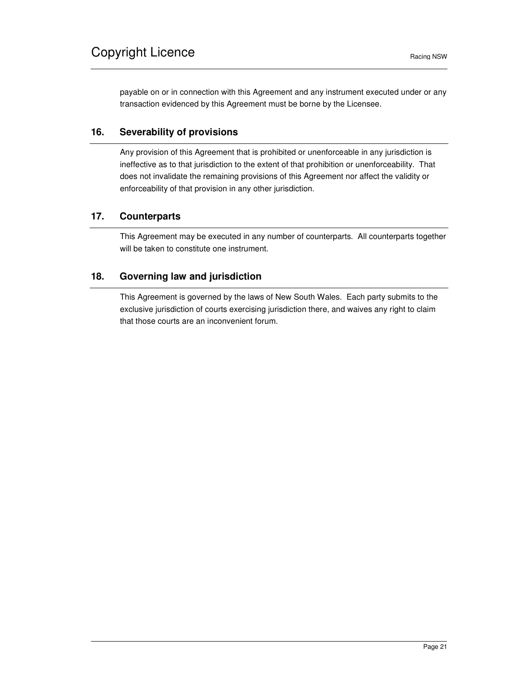payable on or in connection with this Agreement and any instrument executed under or any transaction evidenced by this Agreement must be borne by the Licensee.

# **16. Severability of provisions**

Any provision of this Agreement that is prohibited or unenforceable in any jurisdiction is ineffective as to that jurisdiction to the extent of that prohibition or unenforceability. That does not invalidate the remaining provisions of this Agreement nor affect the validity or enforceability of that provision in any other jurisdiction.

# **17. Counterparts**

This Agreement may be executed in any number of counterparts. All counterparts together will be taken to constitute one instrument.

# **18. Governing law and jurisdiction**

This Agreement is governed by the laws of New South Wales. Each party submits to the exclusive jurisdiction of courts exercising jurisdiction there, and waives any right to claim that those courts are an inconvenient forum.